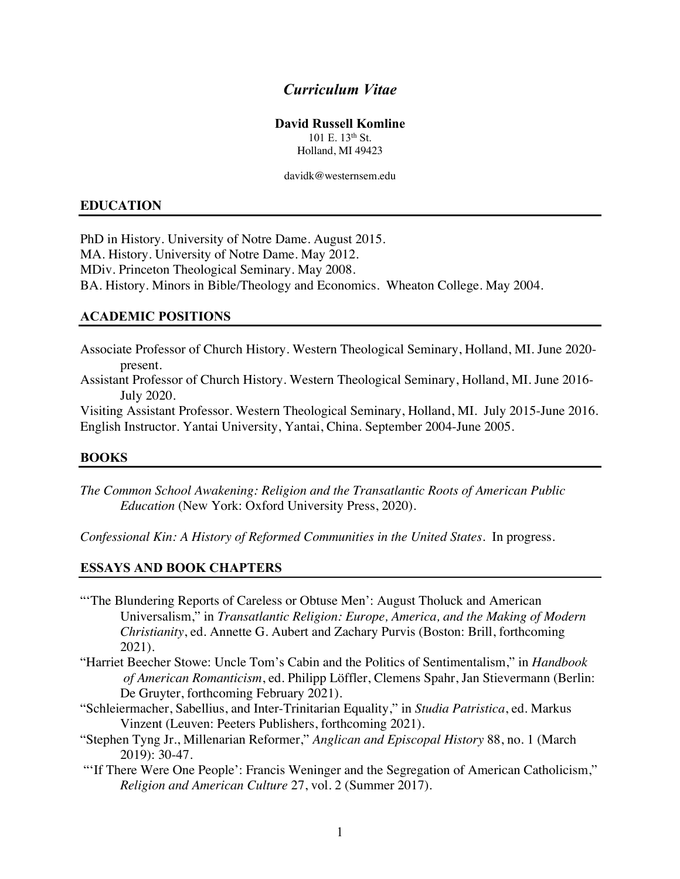## *Curriculum Vitae*

## **David Russell Komline**

 $101 \text{ E}$  13<sup>th</sup> St. Holland, MI 49423

davidk@westernsem.edu

## **EDUCATION**

PhD in History. University of Notre Dame. August 2015. MA. History. University of Notre Dame. May 2012. MDiv. Princeton Theological Seminary. May 2008. BA. History. Minors in Bible/Theology and Economics. Wheaton College. May 2004.

## **ACADEMIC POSITIONS**

Associate Professor of Church History. Western Theological Seminary, Holland, MI. June 2020 present.

Assistant Professor of Church History. Western Theological Seminary, Holland, MI. June 2016- July 2020.

Visiting Assistant Professor. Western Theological Seminary, Holland, MI. July 2015-June 2016. English Instructor. Yantai University, Yantai, China. September 2004-June 2005.

#### **BOOKS**

*The Common School Awakening: Religion and the Transatlantic Roots of American Public Education* (New York: Oxford University Press, 2020).

*Confessional Kin: A History of Reformed Communities in the United States*. In progress.

#### **ESSAYS AND BOOK CHAPTERS**

- "'The Blundering Reports of Careless or Obtuse Men': August Tholuck and American Universalism," in *Transatlantic Religion: Europe, America, and the Making of Modern Christianity*, ed. Annette G. Aubert and Zachary Purvis (Boston: Brill, forthcoming 2021).
- "Harriet Beecher Stowe: Uncle Tom's Cabin and the Politics of Sentimentalism," in *Handbook of American Romanticism*, ed. Philipp Löffler, Clemens Spahr, Jan Stievermann (Berlin: De Gruyter, forthcoming February 2021).
- "Schleiermacher, Sabellius, and Inter-Trinitarian Equality," in *Studia Patristica*, ed. Markus Vinzent (Leuven: Peeters Publishers, forthcoming 2021).
- "Stephen Tyng Jr., Millenarian Reformer," *Anglican and Episcopal History* 88, no. 1 (March 2019): 30-47.
- "'If There Were One People': Francis Weninger and the Segregation of American Catholicism," *Religion and American Culture* 27, vol. 2 (Summer 2017).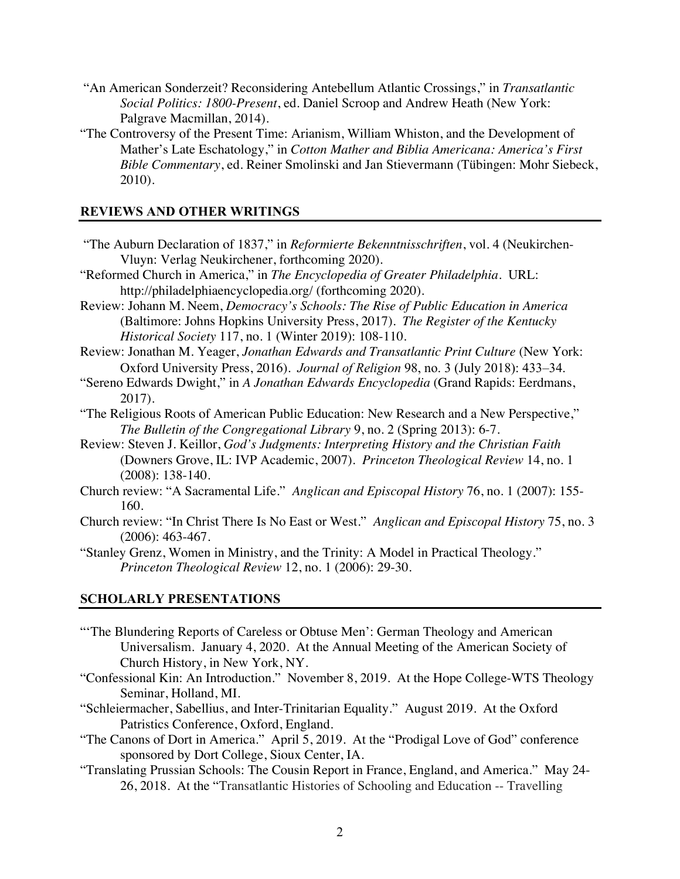- "An American Sonderzeit? Reconsidering Antebellum Atlantic Crossings," in *Transatlantic Social Politics: 1800-Present*, ed. Daniel Scroop and Andrew Heath (New York: Palgrave Macmillan, 2014).
- "The Controversy of the Present Time: Arianism, William Whiston, and the Development of Mather's Late Eschatology," in *Cotton Mather and Biblia Americana: America's First Bible Commentary*, ed. Reiner Smolinski and Jan Stievermann (Tübingen: Mohr Siebeck, 2010).

## **REVIEWS AND OTHER WRITINGS**

- "The Auburn Declaration of 1837," in *Reformierte Bekenntnisschriften*, vol. 4 (Neukirchen-Vluyn: Verlag Neukirchener, forthcoming 2020).
- "Reformed Church in America," in *The Encyclopedia of Greater Philadelphia*. URL: http://philadelphiaencyclopedia.org/ (forthcoming 2020).
- Review: Johann M. Neem, *Democracy's Schools: The Rise of Public Education in America* (Baltimore: Johns Hopkins University Press, 2017). *The Register of the Kentucky Historical Society* 117, no. 1 (Winter 2019): 108-110.
- Review: Jonathan M. Yeager, *Jonathan Edwards and Transatlantic Print Culture* (New York: Oxford University Press, 2016). *Journal of Religion* 98, no. 3 (July 2018): 433–34.
- "Sereno Edwards Dwight," in *A Jonathan Edwards Encyclopedia* (Grand Rapids: Eerdmans, 2017).
- "The Religious Roots of American Public Education: New Research and a New Perspective," *The Bulletin of the Congregational Library* 9, no. 2 (Spring 2013): 6-7.
- Review: Steven J. Keillor, *God's Judgments: Interpreting History and the Christian Faith* (Downers Grove, IL: IVP Academic, 2007). *Princeton Theological Review* 14, no. 1 (2008): 138-140.
- Church review: "A Sacramental Life." *Anglican and Episcopal History* 76, no. 1 (2007): 155- 160.
- Church review: "In Christ There Is No East or West." *Anglican and Episcopal History* 75, no. 3 (2006): 463-467.
- "Stanley Grenz, Women in Ministry, and the Trinity: A Model in Practical Theology." *Princeton Theological Review* 12, no. 1 (2006): 29-30.

## **SCHOLARLY PRESENTATIONS**

- "The Blundering Reports of Careless or Obtuse Men': German Theology and American Universalism. January 4, 2020. At the Annual Meeting of the American Society of Church History, in New York, NY.
- "Confessional Kin: An Introduction." November 8, 2019. At the Hope College-WTS Theology Seminar, Holland, MI.
- "Schleiermacher, Sabellius, and Inter-Trinitarian Equality." August 2019. At the Oxford Patristics Conference, Oxford, England.
- "The Canons of Dort in America." April 5, 2019. At the "Prodigal Love of God" conference sponsored by Dort College, Sioux Center, IA.
- "Translating Prussian Schools: The Cousin Report in France, England, and America." May 24- 26, 2018. At the "Transatlantic Histories of Schooling and Education -- Travelling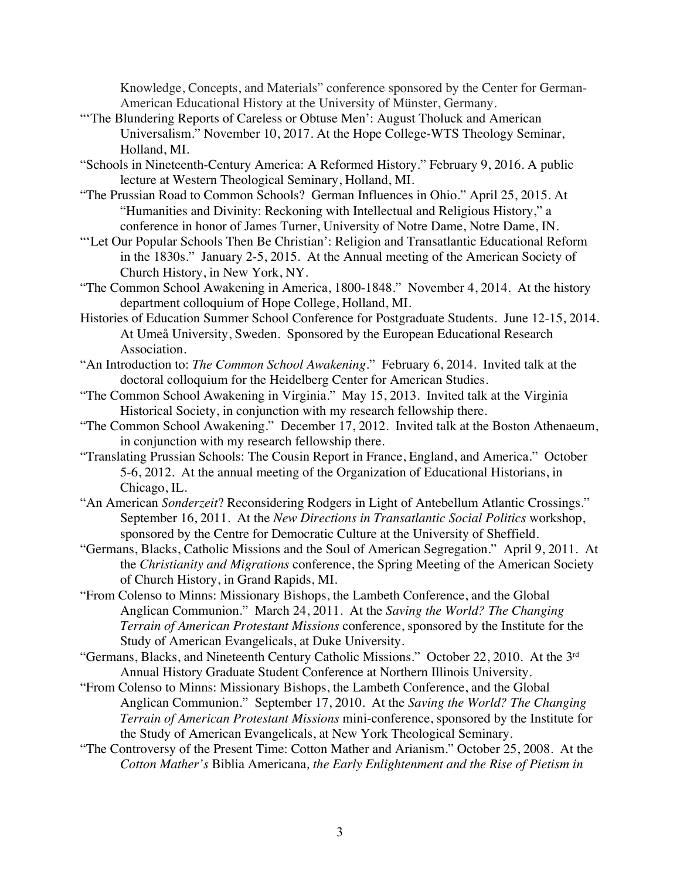Knowledge, Concepts, and Materials" conference sponsored by the Center for German-American Educational History at the University of Münster, Germany.

- "'The Blundering Reports of Careless or Obtuse Men': August Tholuck and American Universalism." November 10, 2017. At the Hope College-WTS Theology Seminar, Holland, MI.
- "Schools in Nineteenth-Century America: A Reformed History." February 9, 2016. A public lecture at Western Theological Seminary, Holland, MI.
- "The Prussian Road to Common Schools? German Influences in Ohio." April 25, 2015. At "Humanities and Divinity: Reckoning with Intellectual and Religious History," a conference in honor of James Turner, University of Notre Dame, Notre Dame, IN.
- "'Let Our Popular Schools Then Be Christian': Religion and Transatlantic Educational Reform in the 1830s." January 2-5, 2015. At the Annual meeting of the American Society of Church History, in New York, NY.
- "The Common School Awakening in America, 1800-1848." November 4, 2014. At the history department colloquium of Hope College, Holland, MI.
- Histories of Education Summer School Conference for Postgraduate Students. June 12-15, 2014. At Umeå University, Sweden. Sponsored by the European Educational Research Association.
- "An Introduction to: *The Common School Awakening*." February 6, 2014. Invited talk at the doctoral colloquium for the Heidelberg Center for American Studies.
- "The Common School Awakening in Virginia." May 15, 2013. Invited talk at the Virginia Historical Society, in conjunction with my research fellowship there.
- "The Common School Awakening." December 17, 2012. Invited talk at the Boston Athenaeum, in conjunction with my research fellowship there.
- "Translating Prussian Schools: The Cousin Report in France, England, and America." October 5-6, 2012. At the annual meeting of the Organization of Educational Historians, in Chicago, IL.
- "An American *Sonderzeit*? Reconsidering Rodgers in Light of Antebellum Atlantic Crossings." September 16, 2011. At the *New Directions in Transatlantic Social Politics* workshop, sponsored by the Centre for Democratic Culture at the University of Sheffield.
- "Germans, Blacks, Catholic Missions and the Soul of American Segregation." April 9, 2011. At the *Christianity and Migrations* conference, the Spring Meeting of the American Society of Church History, in Grand Rapids, MI.
- "From Colenso to Minns: Missionary Bishops, the Lambeth Conference, and the Global Anglican Communion." March 24, 2011. At the *Saving the World? The Changing Terrain of American Protestant Missions* conference, sponsored by the Institute for the Study of American Evangelicals, at Duke University.
- "Germans, Blacks, and Nineteenth Century Catholic Missions." October 22, 2010. At the 3rd Annual History Graduate Student Conference at Northern Illinois University.
- "From Colenso to Minns: Missionary Bishops, the Lambeth Conference, and the Global Anglican Communion." September 17, 2010. At the *Saving the World? The Changing Terrain of American Protestant Missions* mini-conference, sponsored by the Institute for the Study of American Evangelicals, at New York Theological Seminary.
- "The Controversy of the Present Time: Cotton Mather and Arianism." October 25, 2008. At the *Cotton Mather's* Biblia Americana*, the Early Enlightenment and the Rise of Pietism in*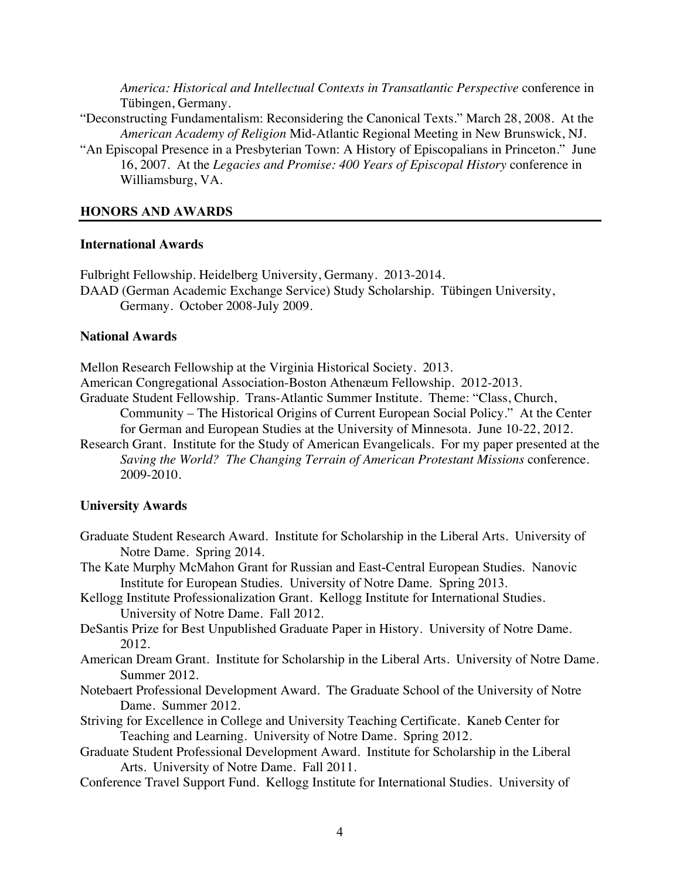*America: Historical and Intellectual Contexts in Transatlantic Perspective* conference in Tübingen, Germany.

- "Deconstructing Fundamentalism: Reconsidering the Canonical Texts." March 28, 2008. At the *American Academy of Religion* Mid-Atlantic Regional Meeting in New Brunswick, NJ.
- "An Episcopal Presence in a Presbyterian Town: A History of Episcopalians in Princeton." June 16, 2007. At the *Legacies and Promise: 400 Years of Episcopal History* conference in Williamsburg, VA.

#### **HONORS AND AWARDS**

#### **International Awards**

Fulbright Fellowship. Heidelberg University, Germany. 2013-2014. DAAD (German Academic Exchange Service) Study Scholarship. Tübingen University, Germany. October 2008-July 2009.

#### **National Awards**

Mellon Research Fellowship at the Virginia Historical Society. 2013.

American Congregational Association-Boston Athenæum Fellowship. 2012-2013.

- Graduate Student Fellowship. Trans-Atlantic Summer Institute. Theme: "Class, Church, Community – The Historical Origins of Current European Social Policy." At the Center for German and European Studies at the University of Minnesota. June 10-22, 2012.
- Research Grant. Institute for the Study of American Evangelicals. For my paper presented at the *Saving the World? The Changing Terrain of American Protestant Missions* conference. 2009-2010.

#### **University Awards**

- Graduate Student Research Award. Institute for Scholarship in the Liberal Arts. University of Notre Dame. Spring 2014.
- The Kate Murphy McMahon Grant for Russian and East-Central European Studies. Nanovic Institute for European Studies. University of Notre Dame. Spring 2013.
- Kellogg Institute Professionalization Grant. Kellogg Institute for International Studies. University of Notre Dame. Fall 2012.
- DeSantis Prize for Best Unpublished Graduate Paper in History. University of Notre Dame. 2012.
- American Dream Grant. Institute for Scholarship in the Liberal Arts. University of Notre Dame. Summer 2012.
- Notebaert Professional Development Award. The Graduate School of the University of Notre Dame. Summer 2012.
- Striving for Excellence in College and University Teaching Certificate. Kaneb Center for Teaching and Learning. University of Notre Dame. Spring 2012.
- Graduate Student Professional Development Award. Institute for Scholarship in the Liberal Arts. University of Notre Dame. Fall 2011.
- Conference Travel Support Fund. Kellogg Institute for International Studies. University of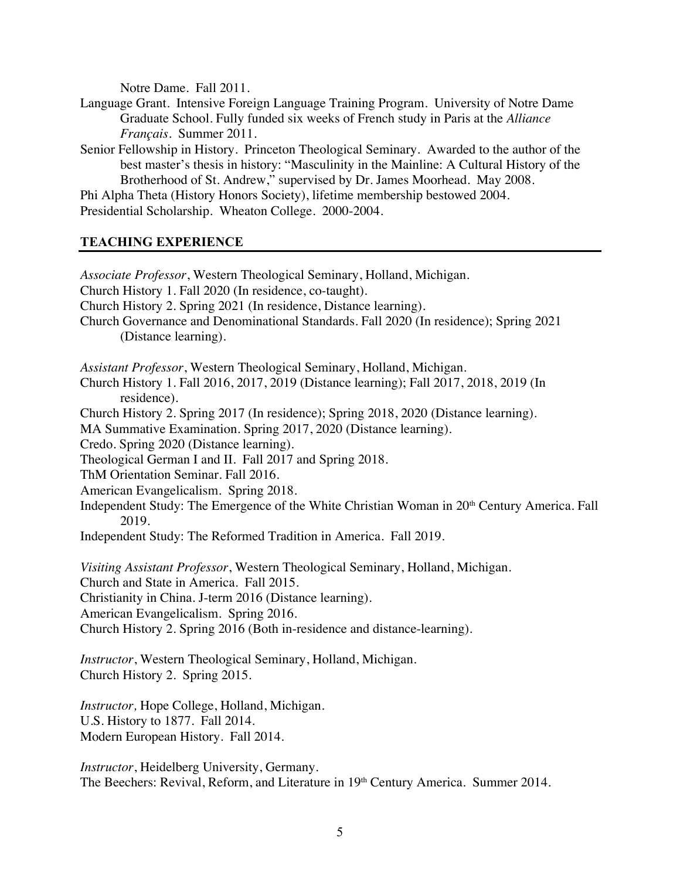Notre Dame. Fall 2011.

- Language Grant. Intensive Foreign Language Training Program. University of Notre Dame Graduate School. Fully funded six weeks of French study in Paris at the *Alliance Français*. Summer 2011.
- Senior Fellowship in History. Princeton Theological Seminary. Awarded to the author of the best master's thesis in history: "Masculinity in the Mainline: A Cultural History of the Brotherhood of St. Andrew," supervised by Dr. James Moorhead. May 2008.

Phi Alpha Theta (History Honors Society), lifetime membership bestowed 2004. Presidential Scholarship. Wheaton College. 2000-2004.

## **TEACHING EXPERIENCE**

*Associate Professor*, Western Theological Seminary, Holland, Michigan. Church History 1. Fall 2020 (In residence, co-taught). Church History 2. Spring 2021 (In residence, Distance learning). Church Governance and Denominational Standards. Fall 2020 (In residence); Spring 2021 (Distance learning). *Assistant Professor*, Western Theological Seminary, Holland, Michigan. Church History 1. Fall 2016, 2017, 2019 (Distance learning); Fall 2017, 2018, 2019 (In residence). Church History 2. Spring 2017 (In residence); Spring 2018, 2020 (Distance learning). MA Summative Examination. Spring 2017, 2020 (Distance learning). Credo. Spring 2020 (Distance learning). Theological German I and II. Fall 2017 and Spring 2018. ThM Orientation Seminar. Fall 2016. American Evangelicalism. Spring 2018. Independent Study: The Emergence of the White Christian Woman in 20<sup>th</sup> Century America. Fall 2019. Independent Study: The Reformed Tradition in America. Fall 2019. *Visiting Assistant Professor*, Western Theological Seminary, Holland, Michigan. Church and State in America. Fall 2015. Christianity in China. J-term 2016 (Distance learning). American Evangelicalism. Spring 2016. Church History 2. Spring 2016 (Both in-residence and distance-learning). *Instructor*, Western Theological Seminary, Holland, Michigan. Church History 2. Spring 2015. *Instructor,* Hope College, Holland, Michigan. U.S. History to 1877. Fall 2014.

Modern European History. Fall 2014.

*Instructor*, Heidelberg University, Germany. The Beechers: Revival, Reform, and Literature in 19th Century America. Summer 2014.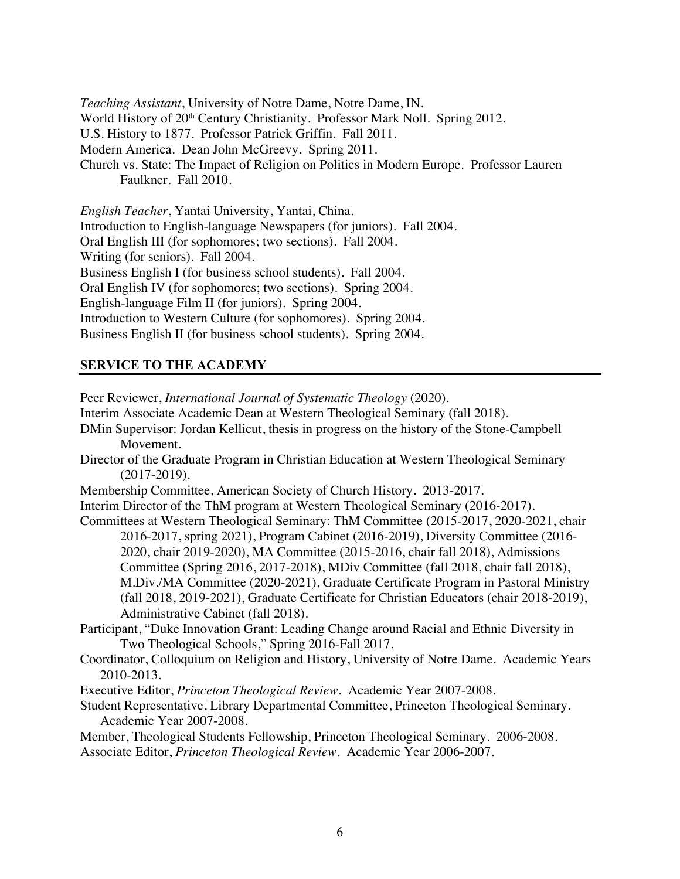*Teaching Assistant*, University of Notre Dame, Notre Dame, IN. World History of 20<sup>th</sup> Century Christianity. Professor Mark Noll. Spring 2012. U.S. History to 1877. Professor Patrick Griffin. Fall 2011. Modern America. Dean John McGreevy. Spring 2011. Church vs. State: The Impact of Religion on Politics in Modern Europe. Professor Lauren Faulkner. Fall 2010.

*English Teacher*, Yantai University, Yantai, China. Introduction to English-language Newspapers (for juniors). Fall 2004. Oral English III (for sophomores; two sections). Fall 2004. Writing (for seniors). Fall 2004. Business English I (for business school students). Fall 2004. Oral English IV (for sophomores; two sections). Spring 2004. English-language Film II (for juniors). Spring 2004. Introduction to Western Culture (for sophomores). Spring 2004. Business English II (for business school students). Spring 2004.

# **SERVICE TO THE ACADEMY**

Peer Reviewer, *International Journal of Systematic Theology* (2020). Interim Associate Academic Dean at Western Theological Seminary (fall 2018). DMin Supervisor: Jordan Kellicut, thesis in progress on the history of the Stone-Campbell Movement. Director of the Graduate Program in Christian Education at Western Theological Seminary (2017-2019). Membership Committee, American Society of Church History. 2013-2017. Interim Director of the ThM program at Western Theological Seminary (2016-2017). Committees at Western Theological Seminary: ThM Committee (2015-2017, 2020-2021, chair 2016-2017, spring 2021), Program Cabinet (2016-2019), Diversity Committee (2016- 2020, chair 2019-2020), MA Committee (2015-2016, chair fall 2018), Admissions Committee (Spring 2016, 2017-2018), MDiv Committee (fall 2018, chair fall 2018), M.Div./MA Committee (2020-2021), Graduate Certificate Program in Pastoral Ministry (fall 2018, 2019-2021), Graduate Certificate for Christian Educators (chair 2018-2019), Administrative Cabinet (fall 2018). Participant, "Duke Innovation Grant: Leading Change around Racial and Ethnic Diversity in Two Theological Schools," Spring 2016-Fall 2017. Coordinator, Colloquium on Religion and History, University of Notre Dame. Academic Years 2010-2013.

Executive Editor, *Princeton Theological Review*. Academic Year 2007-2008.

Student Representative, Library Departmental Committee, Princeton Theological Seminary. Academic Year 2007-2008.

Member, Theological Students Fellowship, Princeton Theological Seminary. 2006-2008. Associate Editor, *Princeton Theological Review*. Academic Year 2006-2007.